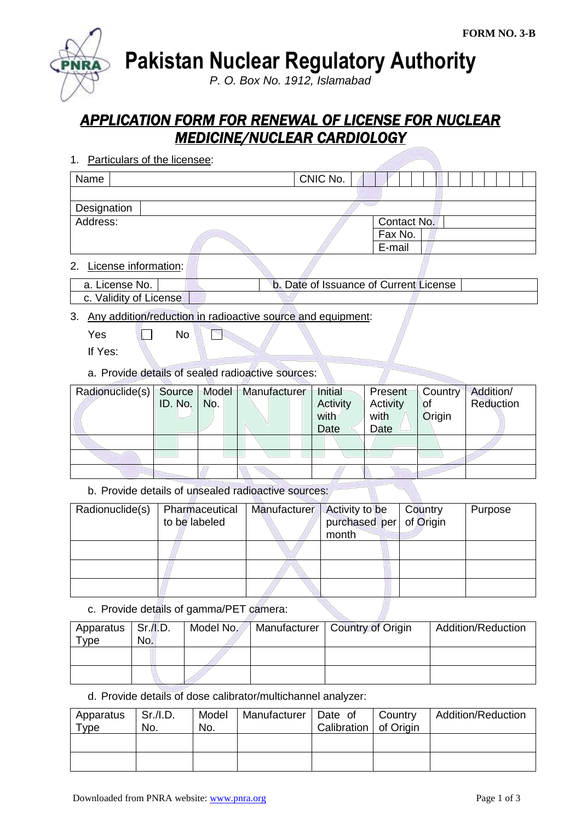**Pakistan Nuclear Regulatory Authority**

*P. O. Box No. 1912, Islamabad*

## *APPLICATION FORM FOR RENEWAL OF LICENSE FOR NUCLEAR MEDICINE/NUCLEAR CARDIOLOGY*

- 1. Particulars of the licensee: Name CNIC No. **Designation** Address: Contact No. Fax No. E-mail 2. License information:
- a. License No. **b. Date of Issuance of Current License** c. Validity of License

## 3. Any addition/reduction in radioactive source and equipment:

 $Yes \t No$ P

If Yes:

a. Provide details of sealed radioactive sources:

| Radionuclide(s)   Source   Model   Manufacturer |                     |  | Initial  | Present  |           | Country Addition/ |
|-------------------------------------------------|---------------------|--|----------|----------|-----------|-------------------|
|                                                 | ID. No. $\vert$ No. |  | Activity | Activity | <b>of</b> | Reduction         |
|                                                 |                     |  | with     | with     | Origin    |                   |
|                                                 |                     |  | Date     | Date     |           |                   |
|                                                 |                     |  |          |          |           |                   |
|                                                 |                     |  |          |          |           |                   |
|                                                 |                     |  |          |          |           |                   |

b. Provide details of unsealed radioactive sources:

| Radionuclide(s) | Pharmaceutical<br>to be labeled | Manufacturer | <b>Activity to be</b><br>purchased per of Origin<br>month | Country | Purpose |
|-----------------|---------------------------------|--------------|-----------------------------------------------------------|---------|---------|
|                 |                                 |              |                                                           |         |         |
|                 |                                 |              |                                                           |         |         |
|                 |                                 |              |                                                           |         |         |

c. Provide details of gamma/PET camera:

| Apparatus<br>Type | Sr/I.D.<br>No. | Model No. | Manufacturer   Country of Origin | Addition/Reduction |
|-------------------|----------------|-----------|----------------------------------|--------------------|
|                   |                |           |                                  |                    |
|                   |                |           |                                  |                    |

d. Provide details of dose calibrator/multichannel analyzer:

| Apparatus<br>Type | Sr.I.D.<br>No. | Model<br>No. | Manufacturer   Date of | Calibration   of Origin | Country | <b>Addition/Reduction</b> |
|-------------------|----------------|--------------|------------------------|-------------------------|---------|---------------------------|
|                   |                |              |                        |                         |         |                           |
|                   |                |              |                        |                         |         |                           |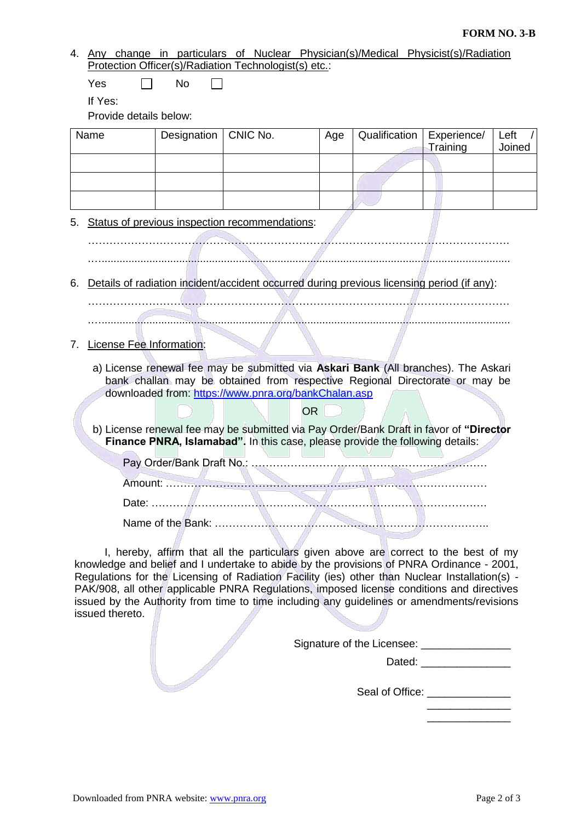## **FORM NO. 3-B**

4. Any change in particulars of Nuclear Physician(s)/Medical Physicist(s)/Radiation Protection Officer(s)/Radiation Technologist(s) etc.:

 $Yes \qquad \Box \qquad No$  $\Box$ 

If Yes:

Provide details below:

| Name | Designation   CNIC No. | Age | Qualification   Experience/ |          | Left   |
|------|------------------------|-----|-----------------------------|----------|--------|
|      |                        |     |                             | Training | Joined |
|      |                        |     |                             |          |        |
|      |                        |     |                             |          |        |
|      |                        |     |                             |          |        |
|      |                        |     |                             |          |        |

## 5. Status of previous inspection recommendations:

………………………………………………………………………………………………………. .….........................................................................................................................................

6. Details of radiation incident/accident occurred during previous licensing period (if any):

………………………………………………………………………………………………………. .….........................................................................................................................................

7. License Fee Information:

a) License renewal fee may be submitted via **Askari Bank** (All branches). The Askari bank challan may be obtained from respective Regional Directorate or may be downloaded from:<https://www.pnra.org/bankChalan.asp>

OR

b) License renewal fee may be submitted via Pay Order/Bank Draft in favor of **"Director Finance PNRA, Islamabad".** In this case, please provide the following details:

Pay Order/Bank Draft No.: ………………………………………………………… Amount: ……………………………………………………………………………… Date: ………………………………………………………………………………….

Name of the Bank: …………………………………………………………………..

I, hereby, affirm that all the particulars given above are correct to the best of my knowledge and belief and I undertake to abide by the provisions of PNRA Ordinance - 2001, Regulations for the Licensing of Radiation Facility (ies) other than Nuclear Installation(s) - PAK/908, all other applicable PNRA Regulations, imposed license conditions and directives issued by the Authority from time to time including any guidelines or amendments/revisions issued thereto.

Signature of the Licensee:

Dated: \_\_\_\_\_\_\_\_\_\_\_\_\_\_\_

Seal of Office: **Example 20** 

 $\frac{1}{2}$  , and the set of the set of the set of the set of the set of the set of the set of the set of the set of  $\frac{1}{2}$  , and the set of the set of the set of the set of the set of the set of the set of the set of the set of the set of the set of the set of the set of the set of the set of the set of the set of the set of the set